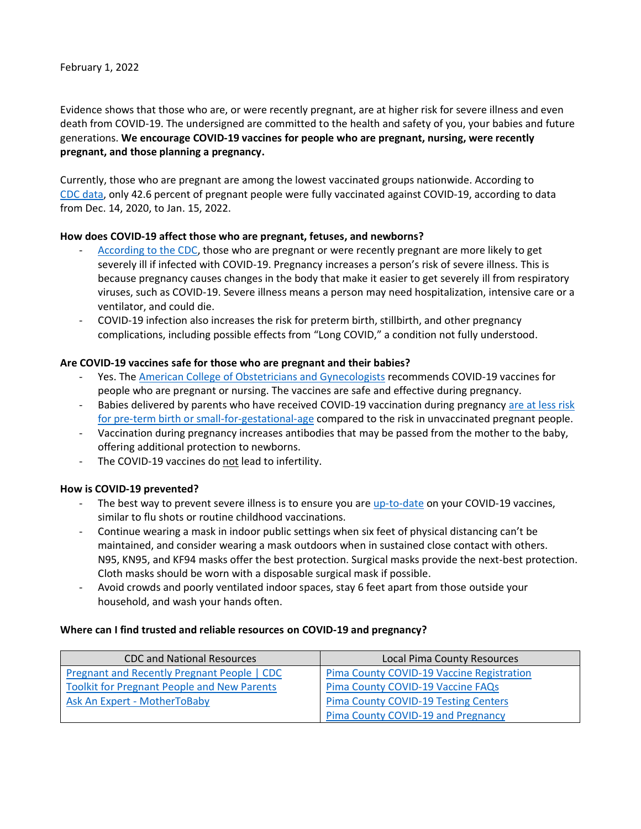February 1, 2022

Evidence shows that those who are, or were recently pregnant, are at higher risk for severe illness and even death from COVID-19. The undersigned are committed to the health and safety of you, your babies and future generations. **We encourage COVID-19 vaccines for people who are pregnant, nursing, were recently pregnant, and those planning a pregnancy.**

Currently, those who are pregnant are among the lowest vaccinated groups nationwide. According to [CDC data,](https://covid.cdc.gov/covid-data-tracker/#vaccinations-pregnant-women) only 42.6 percent of pregnant people were fully vaccinated against COVID-19, according to data from Dec. 14, 2020, to Jan. 15, 2022.

## **How does COVID-19 affect those who are pregnant, fetuses, and newborns?**

- [According to the CDC,](https://www.cdc.gov/coronavirus/2019-ncov/need-extra-precautions/pregnant-people.html) those who are pregnant or were recently pregnant are more likely to get severely ill if infected with COVID-19. Pregnancy increases a person's risk of severe illness. This is because pregnancy causes changes in the body that make it easier to get severely ill from respiratory viruses, such as COVID-19. Severe illness means a person may need hospitalization, intensive care or a ventilator, and could die.
- COVID-19 infection also increases the risk for preterm birth, stillbirth, and other pregnancy complications, including possible effects from "Long COVID," a condition not fully understood.

## **Are COVID-19 vaccines safe for those who are pregnant and their babies?**

- Yes. The [American College of Obstetricians and Gynecologists](https://www.acog.org/clinical/clinical-guidance/practice-advisory/articles/2020/12/covid-19-vaccination-considerations-for-obstetric-gynecologic-care) recommends COVID-19 vaccines for people who are pregnant or nursing. The vaccines are safe and effective during pregnancy.
- Babies delivered by parents who have received COVID-19 vaccination during pregnancy [are at less risk](https://www.cdc.gov/mmwr/volumes/71/wr/mm7101e1.htm?s_cid=mm7101e1_w#References)  [for pre-term birth or small-for-gestational-age](https://www.cdc.gov/mmwr/volumes/71/wr/mm7101e1.htm?s_cid=mm7101e1_w#References) compared to the risk in unvaccinated pregnant people.
- Vaccination during pregnancy increases antibodies that may be passed from the mother to the baby, offering additional protection to newborns.
- The COVID-19 vaccines do not lead to infertility.

## **How is COVID-19 prevented?**

- The best way to prevent severe illness is to ensure you are [up-to-date](https://www.cdc.gov/coronavirus/2019-ncov/vaccines/stay-up-to-date.html) on your COVID-19 vaccines, similar to flu shots or routine childhood vaccinations.
- Continue wearing a mask in indoor public settings when six feet of physical distancing can't be maintained, and consider wearing a mask outdoors when in sustained close contact with others. N95, KN95, and KF94 masks offer the best protection. Surgical masks provide the next-best protection. Cloth masks should be worn with a disposable surgical mask if possible.
- Avoid crowds and poorly ventilated indoor spaces, stay 6 feet apart from those outside your household, and wash your hands often.

## **Where can I find trusted and reliable resources on COVID-19 and pregnancy?**

| <b>CDC and National Resources</b>                  | <b>Local Pima County Resources</b>          |
|----------------------------------------------------|---------------------------------------------|
| Pregnant and Recently Pregnant People   CDC        | Pima County COVID-19 Vaccine Registration   |
| <b>Toolkit for Pregnant People and New Parents</b> | Pima County COVID-19 Vaccine FAQs           |
| Ask An Expert - MotherToBaby                       | <b>Pima County COVID-19 Testing Centers</b> |
|                                                    | Pima County COVID-19 and Pregnancy          |